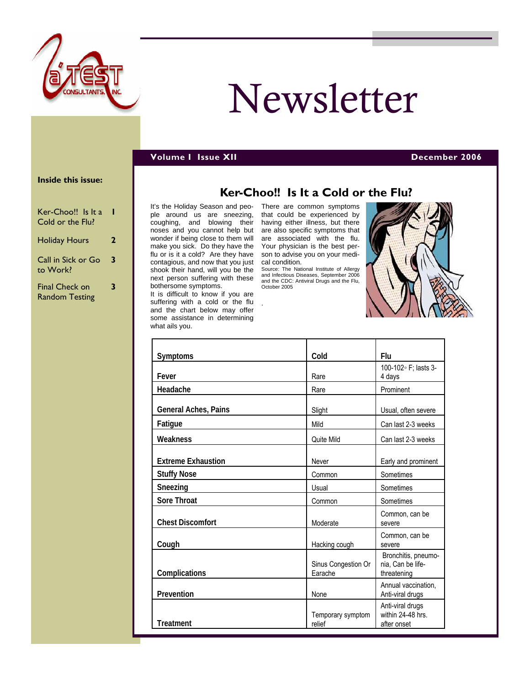

# Newsletter

#### **Volume I Issue XII December 2006**

#### **Inside this issue:**

| Ker-Choo!! Is It a<br>Cold or the Flu?         |   |
|------------------------------------------------|---|
| <b>Holiday Hours</b>                           | 2 |
| Call in Sick or Go<br>to Work?                 | 3 |
| <b>Final Check on</b><br><b>Random Testing</b> | 3 |

It's the Holiday Season and people around us are sneezing, coughing, and blowing their noses and you cannot help but wonder if being close to them will make you sick. Do they have the flu or is it a cold? Are they have contagious, and now that you just shook their hand, will you be the next person suffering with these bothersome symptoms. It is difficult to know if you are

suffering with a cold or the flu and the chart below may offer some assistance in determining what ails you.

There are common symptoms that could be experienced by having either illness, but there are also specific symptoms that are associated with the flu. Your physician is the best person to advise you on your medical condition.

Source: The National Institute of Allergy and Infectious Diseases, September 2006 and the CDC: Antiviral Drugs and the Flu, October 2005

.



| Symptoms                  | Cold                           | Flu                                                     |
|---------------------------|--------------------------------|---------------------------------------------------------|
| Fever                     | Rare                           | 100-102 · F; lasts 3-<br>4 days                         |
| Headache                  | Rare                           | Prominent                                               |
| General Aches, Pains      | Slight                         | Usual, often severe                                     |
| Fatigue                   | Mild                           | Can last 2-3 weeks                                      |
| Weakness                  | Quite Mild                     | Can last 2-3 weeks                                      |
| <b>Extreme Exhaustion</b> | Never                          | Early and prominent                                     |
| <b>Stuffy Nose</b>        | Common                         | Sometimes                                               |
| Sneezing                  | Usual                          | Sometimes                                               |
| Sore Throat               | Common                         | Sometimes                                               |
| <b>Chest Discomfort</b>   | Moderate                       | Common, can be<br>severe                                |
| Cough                     | Hacking cough                  | Common, can be<br>severe                                |
| Complications             | Sinus Congestion Or<br>Earache | Bronchitis, pneumo-<br>nia, Can be life-<br>threatening |
| Prevention                | None                           | Annual vaccination,<br>Anti-viral drugs                 |
| <b>Treatment</b>          | Temporary symptom<br>relief    | Anti-viral drugs<br>within 24-48 hrs.<br>after onset    |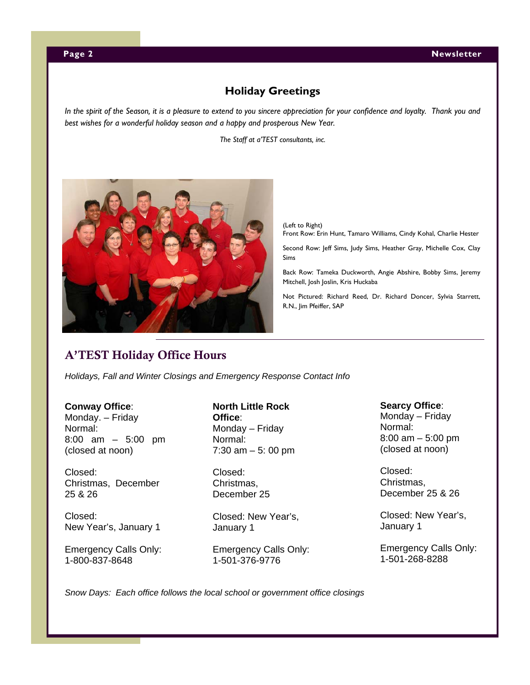# **Holiday Greetings**

<span id="page-1-0"></span>*In the spirit of the Season, it is a pleasure to extend to you sincere appreciation for your confidence and loyalty. Thank you and best wishes for a wonderful holiday season and a happy and prosperous New Year.* 

*The Staff at a'TEST consultants, inc.* 



(Left to Right)

Front Row: Erin Hunt, Tamaro Williams, Cindy Kohal, Charlie Hester

Second Row: Jeff Sims, Judy Sims, Heather Gray, Michelle Cox, Clay Sims

Back Row: Tameka Duckworth, Angie Abshire, Bobby Sims, Jeremy Mitchell, Josh Joslin, Kris Huckaba

Not Pictured: Richard Reed, Dr. Richard Doncer, Sylvia Starrett, R.N., Jim Pfeiffer, SAP

# A'TEST Holiday Office Hours

*Holidays, Fall and Winter Closings and Emergency Response Contact Info* 

#### **Conway Office**:

Monday. – Friday Normal: 8:00 am – 5:00 pm (closed at noon)

Closed: Christmas, December 25 & 26

Closed: New Year's, January 1

Emergency Calls Only: 1-800-837-8648

**North Little Rock Office**: Monday – Friday Normal: 7:30 am – 5: 00 pm

Closed: Christmas, December 25

Closed: New Year's, January 1

Emergency Calls Only: 1-501-376-9776

#### **Searcy Office**:

Monday – Friday Normal: 8:00 am – 5:00 pm (closed at noon)

Closed: Christmas, December 25 & 26

Closed: New Year's, January 1

Emergency Calls Only: 1-501-268-8288

*Snow Days: Each office follows the local school or government office closings*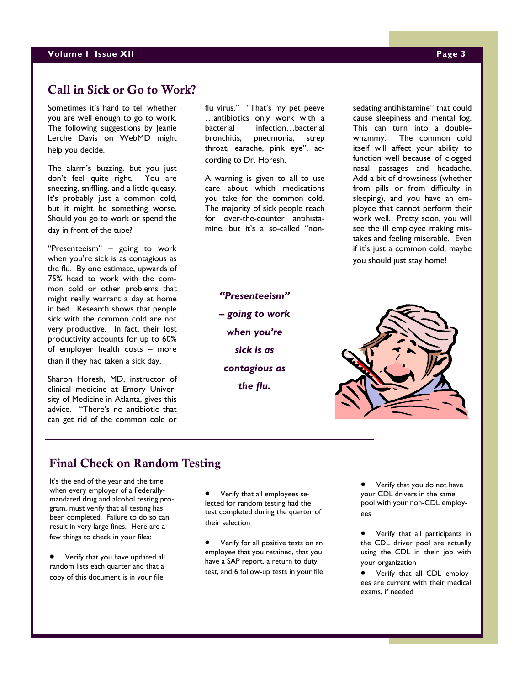# <span id="page-2-0"></span>Call in Sick or Go to Work?

Sometimes it's hard to tell whether you are well enough to go to work. The following suggestions by Jeanie Lerche Davis on WebMD might help you decide.

The alarm's buzzing, but you just don't feel quite right. You are sneezing, sniffling, and a little queasy. It's probably just a common cold, but it might be something worse. Should you go to work or spend the day in front of the tube?

"Presenteeism" – going to work when you're sick is as contagious as the flu. By one estimate, upwards of 75% head to work with the common cold or other problems that might really warrant a day at home in bed. Research shows that people sick with the common cold are not very productive. In fact, their lost productivity accounts for up to 60% of employer health costs – more than if they had taken a sick day.

Sharon Horesh, MD, instructor of clinical medicine at Emory University of Medicine in Atlanta, gives this advice. "There's no antibiotic that can get rid of the common cold or

flu virus." "That's my pet peeve …antibiotics only work with a bacterial infection…bacterial bronchitis, pneumonia, strep throat, earache, pink eye", according to Dr. Horesh.

A warning is given to all to use care about which medications you take for the common cold. The majority of sick people reach for over-the-counter antihistamine, but it's a so-called "non-

> *"Presenteeism" – going to work when you're sick is as contagious as the flu.*

sedating antihistamine" that could cause sleepiness and mental fog. This can turn into a doublewhammy. The common cold itself will affect your ability to function well because of clogged nasal passages and headache. Add a bit of drowsiness (whether from pills or from difficulty in sleeping), and you have an employee that cannot perform their work well. Pretty soon, you will see the ill employee making mistakes and feeling miserable. Even if it's just a common cold, maybe you should just stay home!

## Final Check on Random Testing

It's the end of the year and the time when every employer of a Federallymandated drug and alcohol testing program, must verify that all testing has been completed. Failure to do so can result in very large fines. Here are a few things to check in your files:

• Verify that you have updated all random lists each quarter and that a copy of this document is in your file

• Verify that all employees selected for random testing had the test completed during the quarter of their selection

• Verify for all positive tests on an employee that you retained, that you have a SAP report, a return to duty test, and 6 follow-up tests in your file

Verify that you do not have your CDL drivers in the same pool with your non-CDL employees

• Verify that all participants in the CDL driver pool are actually using the CDL in their job with your organization

• Verify that all CDL employees are current with their medical exams, if needed